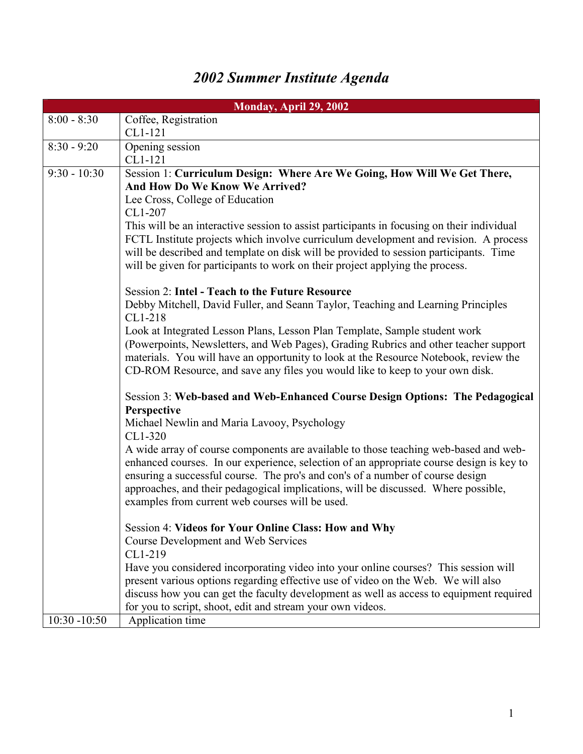## *2002 Summer Institute Agenda*

|                 | Monday, April 29, 2002                                                                                                                                             |
|-----------------|--------------------------------------------------------------------------------------------------------------------------------------------------------------------|
| $8:00 - 8:30$   | Coffee, Registration                                                                                                                                               |
|                 | CL1-121                                                                                                                                                            |
| $8:30 - 9:20$   | Opening session                                                                                                                                                    |
|                 | CL1-121                                                                                                                                                            |
| $9:30 - 10:30$  | Session 1: Curriculum Design: Where Are We Going, How Will We Get There,                                                                                           |
|                 | And How Do We Know We Arrived?                                                                                                                                     |
|                 | Lee Cross, College of Education                                                                                                                                    |
|                 | CL1-207                                                                                                                                                            |
|                 | This will be an interactive session to assist participants in focusing on their individual                                                                         |
|                 | FCTL Institute projects which involve curriculum development and revision. A process                                                                               |
|                 | will be described and template on disk will be provided to session participants. Time                                                                              |
|                 | will be given for participants to work on their project applying the process.                                                                                      |
|                 |                                                                                                                                                                    |
|                 | <b>Session 2: Intel - Teach to the Future Resource</b>                                                                                                             |
|                 | Debby Mitchell, David Fuller, and Seann Taylor, Teaching and Learning Principles                                                                                   |
|                 | CL1-218                                                                                                                                                            |
|                 | Look at Integrated Lesson Plans, Lesson Plan Template, Sample student work<br>(Powerpoints, Newsletters, and Web Pages), Grading Rubrics and other teacher support |
|                 | materials. You will have an opportunity to look at the Resource Notebook, review the                                                                               |
|                 | CD-ROM Resource, and save any files you would like to keep to your own disk.                                                                                       |
|                 |                                                                                                                                                                    |
|                 | Session 3: Web-based and Web-Enhanced Course Design Options: The Pedagogical                                                                                       |
|                 | Perspective                                                                                                                                                        |
|                 | Michael Newlin and Maria Lavooy, Psychology                                                                                                                        |
|                 | CL1-320                                                                                                                                                            |
|                 | A wide array of course components are available to those teaching web-based and web-                                                                               |
|                 | enhanced courses. In our experience, selection of an appropriate course design is key to                                                                           |
|                 | ensuring a successful course. The pro's and con's of a number of course design                                                                                     |
|                 | approaches, and their pedagogical implications, will be discussed. Where possible,                                                                                 |
|                 | examples from current web courses will be used.                                                                                                                    |
|                 |                                                                                                                                                                    |
|                 | Session 4: Videos for Your Online Class: How and Why                                                                                                               |
|                 | <b>Course Development and Web Services</b>                                                                                                                         |
|                 | CL1-219                                                                                                                                                            |
|                 | Have you considered incorporating video into your online courses? This session will                                                                                |
|                 | present various options regarding effective use of video on the Web. We will also                                                                                  |
|                 | discuss how you can get the faculty development as well as access to equipment required                                                                            |
|                 | for you to script, shoot, edit and stream your own videos.                                                                                                         |
| $10:30 - 10:50$ | Application time                                                                                                                                                   |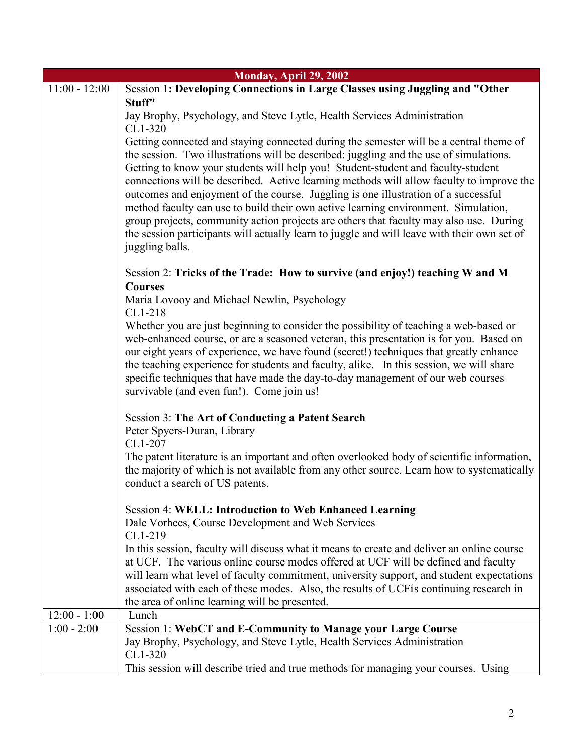| Monday, April 29, 2002 |                                                                                                                                                                                                                                                                                                                                                                                                                                                                                                                                                                                                                                                                                                                                                          |
|------------------------|----------------------------------------------------------------------------------------------------------------------------------------------------------------------------------------------------------------------------------------------------------------------------------------------------------------------------------------------------------------------------------------------------------------------------------------------------------------------------------------------------------------------------------------------------------------------------------------------------------------------------------------------------------------------------------------------------------------------------------------------------------|
| $11:00 - 12:00$        | Session 1: Developing Connections in Large Classes using Juggling and "Other                                                                                                                                                                                                                                                                                                                                                                                                                                                                                                                                                                                                                                                                             |
|                        | Stuff"                                                                                                                                                                                                                                                                                                                                                                                                                                                                                                                                                                                                                                                                                                                                                   |
|                        | Jay Brophy, Psychology, and Steve Lytle, Health Services Administration<br>CL1-320                                                                                                                                                                                                                                                                                                                                                                                                                                                                                                                                                                                                                                                                       |
|                        | Getting connected and staying connected during the semester will be a central theme of<br>the session. Two illustrations will be described: juggling and the use of simulations.<br>Getting to know your students will help you! Student-student and faculty-student<br>connections will be described. Active learning methods will allow faculty to improve the<br>outcomes and enjoyment of the course. Juggling is one illustration of a successful<br>method faculty can use to build their own active learning environment. Simulation,<br>group projects, community action projects are others that faculty may also use. During<br>the session participants will actually learn to juggle and will leave with their own set of<br>juggling balls. |
|                        | Session 2: Tricks of the Trade: How to survive (and enjoy!) teaching W and M<br><b>Courses</b>                                                                                                                                                                                                                                                                                                                                                                                                                                                                                                                                                                                                                                                           |
|                        | Maria Lovooy and Michael Newlin, Psychology<br>CL1-218                                                                                                                                                                                                                                                                                                                                                                                                                                                                                                                                                                                                                                                                                                   |
|                        | Whether you are just beginning to consider the possibility of teaching a web-based or<br>web-enhanced course, or are a seasoned veteran, this presentation is for you. Based on<br>our eight years of experience, we have found (secret!) techniques that greatly enhance<br>the teaching experience for students and faculty, alike. In this session, we will share<br>specific techniques that have made the day-to-day management of our web courses<br>survivable (and even fun!). Come join us!                                                                                                                                                                                                                                                     |
|                        | <b>Session 3: The Art of Conducting a Patent Search</b><br>Peter Spyers-Duran, Library<br>CL1-207                                                                                                                                                                                                                                                                                                                                                                                                                                                                                                                                                                                                                                                        |
|                        | The patent literature is an important and often overlooked body of scientific information,<br>the majority of which is not available from any other source. Learn how to systematically<br>conduct a search of US patents.                                                                                                                                                                                                                                                                                                                                                                                                                                                                                                                               |
|                        | <b>Session 4: WELL: Introduction to Web Enhanced Learning</b><br>Dale Vorhees, Course Development and Web Services<br>CL1-219                                                                                                                                                                                                                                                                                                                                                                                                                                                                                                                                                                                                                            |
|                        | In this session, faculty will discuss what it means to create and deliver an online course<br>at UCF. The various online course modes offered at UCF will be defined and faculty<br>will learn what level of faculty commitment, university support, and student expectations<br>associated with each of these modes. Also, the results of UCFis continuing research in<br>the area of online learning will be presented.                                                                                                                                                                                                                                                                                                                                |
| $12:00 - 1:00$         | Lunch                                                                                                                                                                                                                                                                                                                                                                                                                                                                                                                                                                                                                                                                                                                                                    |
| $1:00 - 2:00$          | <b>Session 1: WebCT and E-Community to Manage your Large Course</b><br>Jay Brophy, Psychology, and Steve Lytle, Health Services Administration<br>CL1-320                                                                                                                                                                                                                                                                                                                                                                                                                                                                                                                                                                                                |
|                        | This session will describe tried and true methods for managing your courses. Using                                                                                                                                                                                                                                                                                                                                                                                                                                                                                                                                                                                                                                                                       |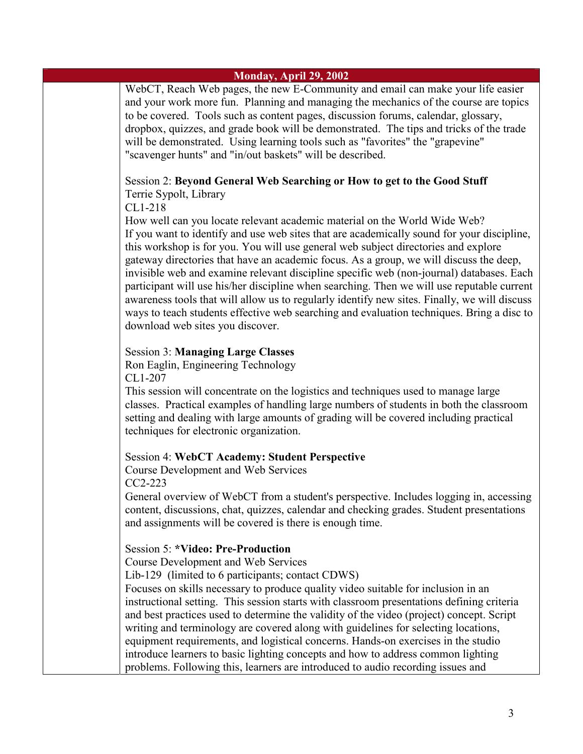| Monday, April 29, 2002 |                                                                                                                                                                                                                                                                                                                                                                                                                                                                                                                                                                                                                                                                                                                                                                                    |  |
|------------------------|------------------------------------------------------------------------------------------------------------------------------------------------------------------------------------------------------------------------------------------------------------------------------------------------------------------------------------------------------------------------------------------------------------------------------------------------------------------------------------------------------------------------------------------------------------------------------------------------------------------------------------------------------------------------------------------------------------------------------------------------------------------------------------|--|
|                        | WebCT, Reach Web pages, the new E-Community and email can make your life easier<br>and your work more fun. Planning and managing the mechanics of the course are topics<br>to be covered. Tools such as content pages, discussion forums, calendar, glossary,<br>dropbox, quizzes, and grade book will be demonstrated. The tips and tricks of the trade<br>will be demonstrated. Using learning tools such as "favorites" the "grapevine"<br>"scavenger hunts" and "in/out baskets" will be described.                                                                                                                                                                                                                                                                            |  |
|                        | Session 2: Beyond General Web Searching or How to get to the Good Stuff<br>Terrie Sypolt, Library<br>CL1-218                                                                                                                                                                                                                                                                                                                                                                                                                                                                                                                                                                                                                                                                       |  |
|                        | How well can you locate relevant academic material on the World Wide Web?<br>If you want to identify and use web sites that are academically sound for your discipline,<br>this workshop is for you. You will use general web subject directories and explore<br>gateway directories that have an academic focus. As a group, we will discuss the deep,<br>invisible web and examine relevant discipline specific web (non-journal) databases. Each<br>participant will use his/her discipline when searching. Then we will use reputable current<br>awareness tools that will allow us to regularly identify new sites. Finally, we will discuss<br>ways to teach students effective web searching and evaluation techniques. Bring a disc to<br>download web sites you discover. |  |
|                        | <b>Session 3: Managing Large Classes</b><br>Ron Eaglin, Engineering Technology<br>CL1-207                                                                                                                                                                                                                                                                                                                                                                                                                                                                                                                                                                                                                                                                                          |  |
|                        | This session will concentrate on the logistics and techniques used to manage large<br>classes. Practical examples of handling large numbers of students in both the classroom<br>setting and dealing with large amounts of grading will be covered including practical<br>techniques for electronic organization.                                                                                                                                                                                                                                                                                                                                                                                                                                                                  |  |
|                        | <b>Session 4: WebCT Academy: Student Perspective</b><br><b>Course Development and Web Services</b><br>CC2-223                                                                                                                                                                                                                                                                                                                                                                                                                                                                                                                                                                                                                                                                      |  |
|                        | General overview of WebCT from a student's perspective. Includes logging in, accessing<br>content, discussions, chat, quizzes, calendar and checking grades. Student presentations<br>and assignments will be covered is there is enough time.                                                                                                                                                                                                                                                                                                                                                                                                                                                                                                                                     |  |
|                        | <b>Session 5: *Video: Pre-Production</b><br><b>Course Development and Web Services</b><br>Lib-129 (limited to 6 participants; contact CDWS)<br>Focuses on skills necessary to produce quality video suitable for inclusion in an<br>instructional setting. This session starts with classroom presentations defining criteria<br>and best practices used to determine the validity of the video (project) concept. Script<br>writing and terminology are covered along with guidelines for selecting locations,<br>equipment requirements, and logistical concerns. Hands-on exercises in the studio<br>introduce learners to basic lighting concepts and how to address common lighting<br>problems. Following this, learners are introduced to audio recording issues and        |  |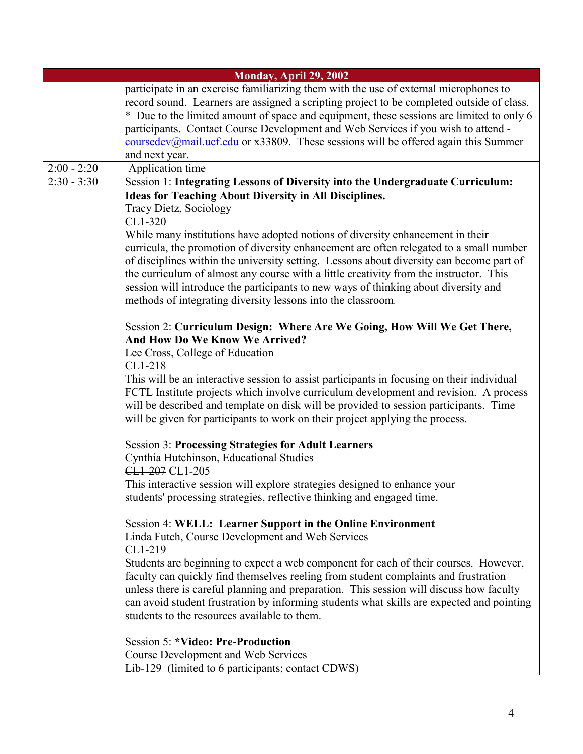|               | Monday, April 29, 2002                                                                                                                                                                                                                                                                                                                                                                                                                                                                                                                                                                                                       |
|---------------|------------------------------------------------------------------------------------------------------------------------------------------------------------------------------------------------------------------------------------------------------------------------------------------------------------------------------------------------------------------------------------------------------------------------------------------------------------------------------------------------------------------------------------------------------------------------------------------------------------------------------|
|               | participate in an exercise familiarizing them with the use of external microphones to<br>record sound. Learners are assigned a scripting project to be completed outside of class.<br>* Due to the limited amount of space and equipment, these sessions are limited to only 6<br>participants. Contact Course Development and Web Services if you wish to attend -<br>$\frac{\text{coursedev}(\text{Qmail.ucf.edu}}{\text{cmail.ucf.edu}}$ or x33809. These sessions will be offered again this Summer<br>and next year.                                                                                                    |
| $2:00 - 2:20$ | Application time                                                                                                                                                                                                                                                                                                                                                                                                                                                                                                                                                                                                             |
| $2:30 - 3:30$ | Session 1: Integrating Lessons of Diversity into the Undergraduate Curriculum:                                                                                                                                                                                                                                                                                                                                                                                                                                                                                                                                               |
|               | <b>Ideas for Teaching About Diversity in All Disciplines.</b><br>Tracy Dietz, Sociology<br>CL1-320<br>While many institutions have adopted notions of diversity enhancement in their<br>curricula, the promotion of diversity enhancement are often relegated to a small number<br>of disciplines within the university setting. Lessons about diversity can become part of<br>the curriculum of almost any course with a little creativity from the instructor. This<br>session will introduce the participants to new ways of thinking about diversity and<br>methods of integrating diversity lessons into the classroom. |
|               | Session 2: Curriculum Design: Where Are We Going, How Will We Get There,<br>And How Do We Know We Arrived?<br>Lee Cross, College of Education<br>CL1-218<br>This will be an interactive session to assist participants in focusing on their individual<br>FCTL Institute projects which involve curriculum development and revision. A process<br>will be described and template on disk will be provided to session participants. Time<br>will be given for participants to work on their project applying the process.                                                                                                     |
|               | <b>Session 3: Processing Strategies for Adult Learners</b><br>Cynthia Hutchinson, Educational Studies<br>CL1-207 CL1-205<br>This interactive session will explore strategies designed to enhance your                                                                                                                                                                                                                                                                                                                                                                                                                        |
|               | students' processing strategies, reflective thinking and engaged time.                                                                                                                                                                                                                                                                                                                                                                                                                                                                                                                                                       |
|               | Session 4: WELL: Learner Support in the Online Environment<br>Linda Futch, Course Development and Web Services<br>CL1-219<br>Students are beginning to expect a web component for each of their courses. However,<br>faculty can quickly find themselves reeling from student complaints and frustration<br>unless there is careful planning and preparation. This session will discuss how faculty<br>can avoid student frustration by informing students what skills are expected and pointing<br>students to the resources available to them.                                                                             |
|               | <b>Session 5: *Video: Pre-Production</b><br>Course Development and Web Services<br>Lib-129 (limited to 6 participants; contact CDWS)                                                                                                                                                                                                                                                                                                                                                                                                                                                                                         |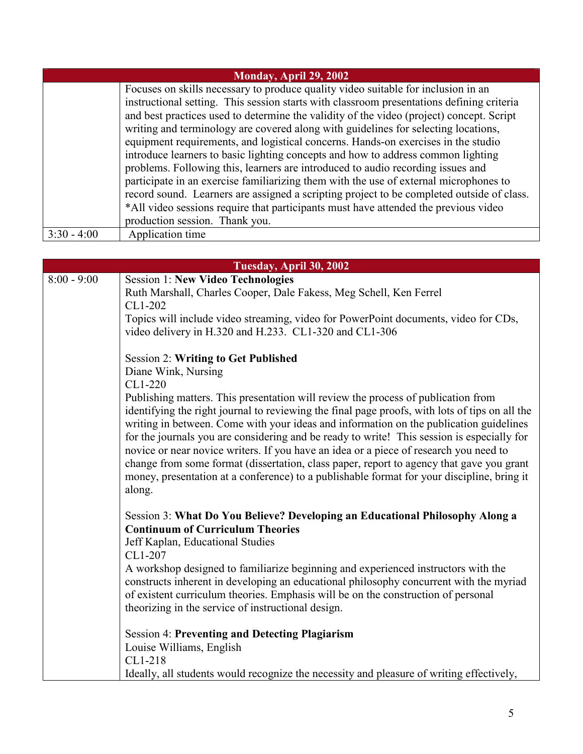| Monday, April 29, 2002 |                                                                                           |
|------------------------|-------------------------------------------------------------------------------------------|
|                        | Focuses on skills necessary to produce quality video suitable for inclusion in an         |
|                        | instructional setting. This session starts with classroom presentations defining criteria |
|                        | and best practices used to determine the validity of the video (project) concept. Script  |
|                        | writing and terminology are covered along with guidelines for selecting locations,        |
|                        | equipment requirements, and logistical concerns. Hands-on exercises in the studio         |
|                        | introduce learners to basic lighting concepts and how to address common lighting          |
|                        | problems. Following this, learners are introduced to audio recording issues and           |
|                        | participate in an exercise familiarizing them with the use of external microphones to     |
|                        | record sound. Learners are assigned a scripting project to be completed outside of class. |
|                        | *All video sessions require that participants must have attended the previous video       |
|                        | production session. Thank you.                                                            |
| $3:30 - 4:00$          | Application time                                                                          |

| Tuesday, April 30, 2002 |                                                                                                                                                                                                                                                                                                                                                                                                                                                                                                                                                                                     |
|-------------------------|-------------------------------------------------------------------------------------------------------------------------------------------------------------------------------------------------------------------------------------------------------------------------------------------------------------------------------------------------------------------------------------------------------------------------------------------------------------------------------------------------------------------------------------------------------------------------------------|
| $8:00 - 9:00$           | <b>Session 1: New Video Technologies</b>                                                                                                                                                                                                                                                                                                                                                                                                                                                                                                                                            |
|                         | Ruth Marshall, Charles Cooper, Dale Fakess, Meg Schell, Ken Ferrel                                                                                                                                                                                                                                                                                                                                                                                                                                                                                                                  |
|                         | CL1-202                                                                                                                                                                                                                                                                                                                                                                                                                                                                                                                                                                             |
|                         | Topics will include video streaming, video for PowerPoint documents, video for CDs,                                                                                                                                                                                                                                                                                                                                                                                                                                                                                                 |
|                         | video delivery in H.320 and H.233. CL1-320 and CL1-306                                                                                                                                                                                                                                                                                                                                                                                                                                                                                                                              |
|                         |                                                                                                                                                                                                                                                                                                                                                                                                                                                                                                                                                                                     |
|                         | <b>Session 2: Writing to Get Published</b><br>Diane Wink, Nursing                                                                                                                                                                                                                                                                                                                                                                                                                                                                                                                   |
|                         | CL1-220                                                                                                                                                                                                                                                                                                                                                                                                                                                                                                                                                                             |
|                         | Publishing matters. This presentation will review the process of publication from                                                                                                                                                                                                                                                                                                                                                                                                                                                                                                   |
|                         | identifying the right journal to reviewing the final page proofs, with lots of tips on all the<br>writing in between. Come with your ideas and information on the publication guidelines<br>for the journals you are considering and be ready to write! This session is especially for<br>novice or near novice writers. If you have an idea or a piece of research you need to<br>change from some format (dissertation, class paper, report to agency that gave you grant<br>money, presentation at a conference) to a publishable format for your discipline, bring it<br>along. |
|                         | Session 3: What Do You Believe? Developing an Educational Philosophy Along a                                                                                                                                                                                                                                                                                                                                                                                                                                                                                                        |
|                         | <b>Continuum of Curriculum Theories</b>                                                                                                                                                                                                                                                                                                                                                                                                                                                                                                                                             |
|                         | Jeff Kaplan, Educational Studies                                                                                                                                                                                                                                                                                                                                                                                                                                                                                                                                                    |
|                         | CL1-207                                                                                                                                                                                                                                                                                                                                                                                                                                                                                                                                                                             |
|                         | A workshop designed to familiarize beginning and experienced instructors with the<br>constructs inherent in developing an educational philosophy concurrent with the myriad                                                                                                                                                                                                                                                                                                                                                                                                         |
|                         | of existent curriculum theories. Emphasis will be on the construction of personal                                                                                                                                                                                                                                                                                                                                                                                                                                                                                                   |
|                         | theorizing in the service of instructional design.                                                                                                                                                                                                                                                                                                                                                                                                                                                                                                                                  |
|                         |                                                                                                                                                                                                                                                                                                                                                                                                                                                                                                                                                                                     |
|                         | <b>Session 4: Preventing and Detecting Plagiarism</b>                                                                                                                                                                                                                                                                                                                                                                                                                                                                                                                               |
|                         | Louise Williams, English                                                                                                                                                                                                                                                                                                                                                                                                                                                                                                                                                            |
|                         | CL1-218                                                                                                                                                                                                                                                                                                                                                                                                                                                                                                                                                                             |
|                         | Ideally, all students would recognize the necessity and pleasure of writing effectively,                                                                                                                                                                                                                                                                                                                                                                                                                                                                                            |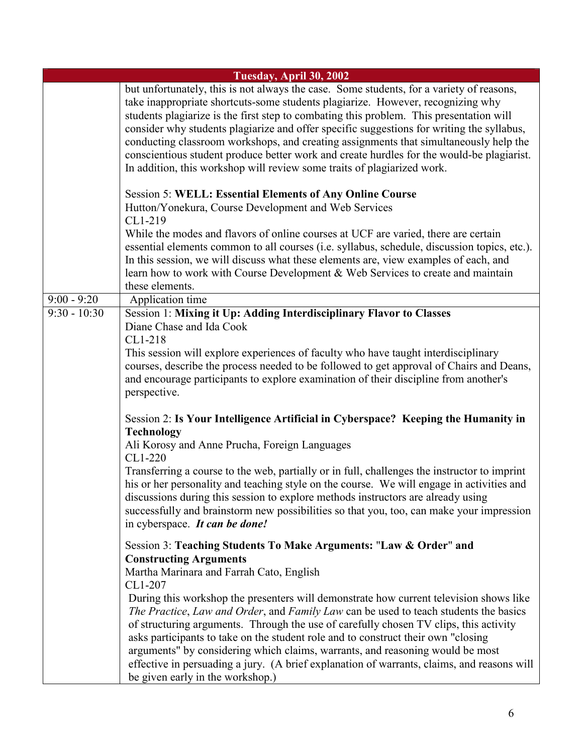|                | Tuesday, April 30, 2002                                                                                                                                                                                                                                                                                                                                                                                                                                                                                                                                                                                                              |
|----------------|--------------------------------------------------------------------------------------------------------------------------------------------------------------------------------------------------------------------------------------------------------------------------------------------------------------------------------------------------------------------------------------------------------------------------------------------------------------------------------------------------------------------------------------------------------------------------------------------------------------------------------------|
|                | but unfortunately, this is not always the case. Some students, for a variety of reasons,<br>take inappropriate shortcuts-some students plagiarize. However, recognizing why<br>students plagiarize is the first step to combating this problem. This presentation will<br>consider why students plagiarize and offer specific suggestions for writing the syllabus,<br>conducting classroom workshops, and creating assignments that simultaneously help the<br>conscientious student produce better work and create hurdles for the would-be plagiarist.<br>In addition, this workshop will review some traits of plagiarized work. |
|                | <b>Session 5: WELL: Essential Elements of Any Online Course</b><br>Hutton/Yonekura, Course Development and Web Services<br>CL1-219                                                                                                                                                                                                                                                                                                                                                                                                                                                                                                   |
|                | While the modes and flavors of online courses at UCF are varied, there are certain<br>essential elements common to all courses (i.e. syllabus, schedule, discussion topics, etc.).<br>In this session, we will discuss what these elements are, view examples of each, and<br>learn how to work with Course Development & Web Services to create and maintain<br>these elements.                                                                                                                                                                                                                                                     |
| $9:00 - 9:20$  | Application time                                                                                                                                                                                                                                                                                                                                                                                                                                                                                                                                                                                                                     |
| $9:30 - 10:30$ | Session 1: Mixing it Up: Adding Interdisciplinary Flavor to Classes<br>Diane Chase and Ida Cook<br>CL1-218<br>This session will explore experiences of faculty who have taught interdisciplinary<br>courses, describe the process needed to be followed to get approval of Chairs and Deans,<br>and encourage participants to explore examination of their discipline from another's<br>perspective.                                                                                                                                                                                                                                 |
|                | Session 2: Is Your Intelligence Artificial in Cyberspace? Keeping the Humanity in<br><b>Technology</b><br>Ali Korosy and Anne Prucha, Foreign Languages<br>CL1-220                                                                                                                                                                                                                                                                                                                                                                                                                                                                   |
|                | Transferring a course to the web, partially or in full, challenges the instructor to imprint<br>his or her personality and teaching style on the course. We will engage in activities and<br>discussions during this session to explore methods instructors are already using<br>successfully and brainstorm new possibilities so that you, too, can make your impression<br>in cyberspace. It can be done!                                                                                                                                                                                                                          |
|                | Session 3: Teaching Students To Make Arguments: "Law & Order" and<br><b>Constructing Arguments</b><br>Martha Marinara and Farrah Cato, English<br>CL1-207                                                                                                                                                                                                                                                                                                                                                                                                                                                                            |
|                | During this workshop the presenters will demonstrate how current television shows like<br>The Practice, Law and Order, and Family Law can be used to teach students the basics<br>of structuring arguments. Through the use of carefully chosen TV clips, this activity<br>asks participants to take on the student role and to construct their own "closing"<br>arguments" by considering which claims, warrants, and reasoning would be most<br>effective in persuading a jury. (A brief explanation of warrants, claims, and reasons will<br>be given early in the workshop.)                                                     |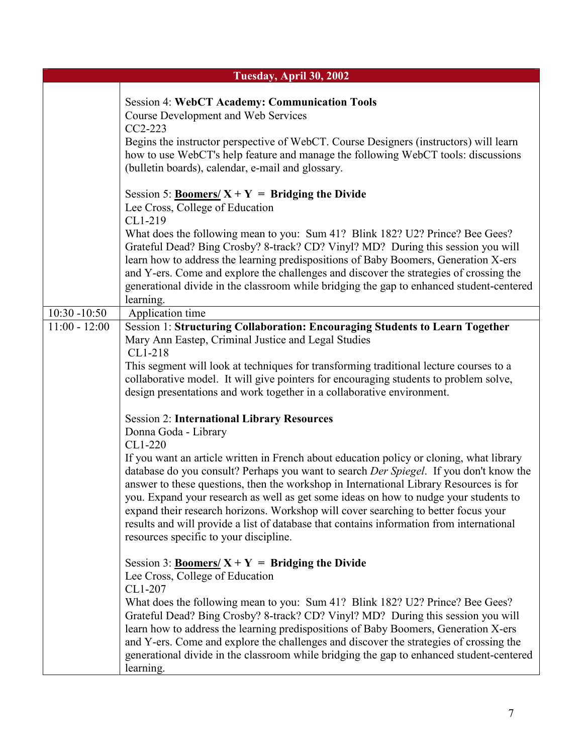|                                    | Tuesday, April 30, 2002                                                                                                                                                                                                                                                                                                                                                                                                                                                                                                                                                                                                               |
|------------------------------------|---------------------------------------------------------------------------------------------------------------------------------------------------------------------------------------------------------------------------------------------------------------------------------------------------------------------------------------------------------------------------------------------------------------------------------------------------------------------------------------------------------------------------------------------------------------------------------------------------------------------------------------|
|                                    | <b>Session 4: WebCT Academy: Communication Tools</b><br><b>Course Development and Web Services</b><br>$CC2-223$<br>Begins the instructor perspective of WebCT. Course Designers (instructors) will learn<br>how to use WebCT's help feature and manage the following WebCT tools: discussions<br>(bulletin boards), calendar, e-mail and glossary.                                                                                                                                                                                                                                                                                    |
|                                    | Session 5: <b>Boomers/</b> $X + Y =$ <b>Bridging the Divide</b><br>Lee Cross, College of Education<br>CL1-219<br>What does the following mean to you: Sum 41? Blink 182? U2? Prince? Bee Gees?<br>Grateful Dead? Bing Crosby? 8-track? CD? Vinyl? MD? During this session you will<br>learn how to address the learning predispositions of Baby Boomers, Generation X-ers<br>and Y-ers. Come and explore the challenges and discover the strategies of crossing the<br>generational divide in the classroom while bridging the gap to enhanced student-centered<br>learning.                                                          |
| $10:30 - 10:50$<br>$11:00 - 12:00$ | Application time<br>Session 1: Structuring Collaboration: Encouraging Students to Learn Together                                                                                                                                                                                                                                                                                                                                                                                                                                                                                                                                      |
|                                    | Mary Ann Eastep, Criminal Justice and Legal Studies<br>CL1-218<br>This segment will look at techniques for transforming traditional lecture courses to a<br>collaborative model. It will give pointers for encouraging students to problem solve,<br>design presentations and work together in a collaborative environment.<br><b>Session 2: International Library Resources</b>                                                                                                                                                                                                                                                      |
|                                    | Donna Goda - Library<br>$CL1-220$<br>If you want an article written in French about education policy or cloning, what library<br>database do you consult? Perhaps you want to search Der Spiegel. If you don't know the<br>answer to these questions, then the workshop in International Library Resources is for<br>you. Expand your research as well as get some ideas on how to nudge your students to<br>expand their research horizons. Workshop will cover searching to better focus your<br>results and will provide a list of database that contains information from international<br>resources specific to your discipline. |
|                                    | Session 3: <b>Boomers/</b> $X + Y =$ <b>Bridging the Divide</b><br>Lee Cross, College of Education<br>CL1-207<br>What does the following mean to you: Sum 41? Blink 182? U2? Prince? Bee Gees?<br>Grateful Dead? Bing Crosby? 8-track? CD? Vinyl? MD? During this session you will<br>learn how to address the learning predispositions of Baby Boomers, Generation X-ers<br>and Y-ers. Come and explore the challenges and discover the strategies of crossing the<br>generational divide in the classroom while bridging the gap to enhanced student-centered<br>learning.                                                          |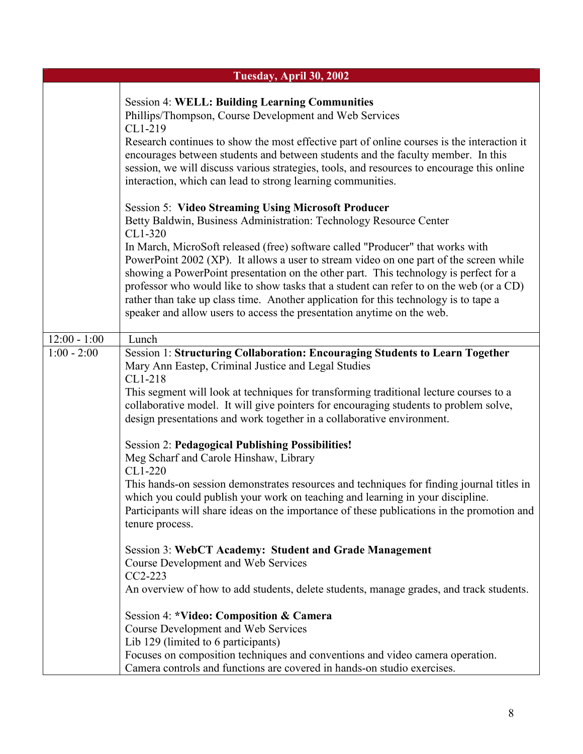|                | Tuesday, April 30, 2002                                                                                                                                                                                                                                                                                                                                                                                                                                                                                                                                                                                                                                                       |
|----------------|-------------------------------------------------------------------------------------------------------------------------------------------------------------------------------------------------------------------------------------------------------------------------------------------------------------------------------------------------------------------------------------------------------------------------------------------------------------------------------------------------------------------------------------------------------------------------------------------------------------------------------------------------------------------------------|
|                | <b>Session 4: WELL: Building Learning Communities</b><br>Phillips/Thompson, Course Development and Web Services<br>CL1-219<br>Research continues to show the most effective part of online courses is the interaction it<br>encourages between students and between students and the faculty member. In this<br>session, we will discuss various strategies, tools, and resources to encourage this online<br>interaction, which can lead to strong learning communities.                                                                                                                                                                                                     |
|                | <b>Session 5: Video Streaming Using Microsoft Producer</b><br>Betty Baldwin, Business Administration: Technology Resource Center<br>CL1-320<br>In March, MicroSoft released (free) software called "Producer" that works with<br>PowerPoint 2002 (XP). It allows a user to stream video on one part of the screen while<br>showing a PowerPoint presentation on the other part. This technology is perfect for a<br>professor who would like to show tasks that a student can refer to on the web (or a CD)<br>rather than take up class time. Another application for this technology is to tape a<br>speaker and allow users to access the presentation anytime on the web. |
| $12:00 - 1:00$ | Lunch                                                                                                                                                                                                                                                                                                                                                                                                                                                                                                                                                                                                                                                                         |
| $1:00 - 2:00$  | Session 1: Structuring Collaboration: Encouraging Students to Learn Together<br>Mary Ann Eastep, Criminal Justice and Legal Studies<br>CL1-218<br>This segment will look at techniques for transforming traditional lecture courses to a<br>collaborative model. It will give pointers for encouraging students to problem solve,<br>design presentations and work together in a collaborative environment.                                                                                                                                                                                                                                                                   |
|                | <b>Session 2: Pedagogical Publishing Possibilities!</b><br>Meg Scharf and Carole Hinshaw, Library                                                                                                                                                                                                                                                                                                                                                                                                                                                                                                                                                                             |
|                | CL1-220<br>This hands-on session demonstrates resources and techniques for finding journal titles in<br>which you could publish your work on teaching and learning in your discipline.<br>Participants will share ideas on the importance of these publications in the promotion and<br>tenure process.                                                                                                                                                                                                                                                                                                                                                                       |
|                | Session 3: WebCT Academy: Student and Grade Management<br><b>Course Development and Web Services</b><br>CC2-223                                                                                                                                                                                                                                                                                                                                                                                                                                                                                                                                                               |
|                | An overview of how to add students, delete students, manage grades, and track students.                                                                                                                                                                                                                                                                                                                                                                                                                                                                                                                                                                                       |
|                | Session 4: *Video: Composition & Camera<br><b>Course Development and Web Services</b><br>Lib 129 (limited to 6 participants)                                                                                                                                                                                                                                                                                                                                                                                                                                                                                                                                                  |
|                | Focuses on composition techniques and conventions and video camera operation.<br>Camera controls and functions are covered in hands-on studio exercises.                                                                                                                                                                                                                                                                                                                                                                                                                                                                                                                      |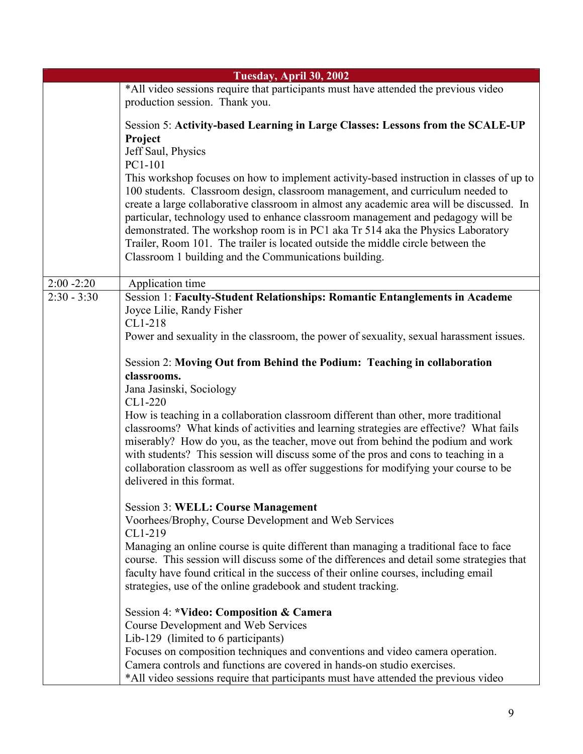|               | Tuesday, April 30, 2002                                                                                                                                                                                                                                                                                                                                                                                                                                                                                                                                                                   |
|---------------|-------------------------------------------------------------------------------------------------------------------------------------------------------------------------------------------------------------------------------------------------------------------------------------------------------------------------------------------------------------------------------------------------------------------------------------------------------------------------------------------------------------------------------------------------------------------------------------------|
|               | *All video sessions require that participants must have attended the previous video<br>production session. Thank you.                                                                                                                                                                                                                                                                                                                                                                                                                                                                     |
|               | Session 5: Activity-based Learning in Large Classes: Lessons from the SCALE-UP<br>Project<br>Jeff Saul, Physics<br>PC1-101                                                                                                                                                                                                                                                                                                                                                                                                                                                                |
|               | This workshop focuses on how to implement activity-based instruction in classes of up to<br>100 students. Classroom design, classroom management, and curriculum needed to<br>create a large collaborative classroom in almost any academic area will be discussed. In<br>particular, technology used to enhance classroom management and pedagogy will be<br>demonstrated. The workshop room is in PC1 aka Tr 514 aka the Physics Laboratory<br>Trailer, Room 101. The trailer is located outside the middle circle between the<br>Classroom 1 building and the Communications building. |
| $2:00 - 2:20$ | Application time                                                                                                                                                                                                                                                                                                                                                                                                                                                                                                                                                                          |
| $2:30 - 3:30$ | <b>Session 1: Faculty-Student Relationships: Romantic Entanglements in Academe</b><br>Joyce Lilie, Randy Fisher<br>CL1-218<br>Power and sexuality in the classroom, the power of sexuality, sexual harassment issues.                                                                                                                                                                                                                                                                                                                                                                     |
|               | Session 2: Moving Out from Behind the Podium: Teaching in collaboration<br>classrooms.                                                                                                                                                                                                                                                                                                                                                                                                                                                                                                    |
|               | Jana Jasinski, Sociology                                                                                                                                                                                                                                                                                                                                                                                                                                                                                                                                                                  |
|               | CL1-220<br>How is teaching in a collaboration classroom different than other, more traditional<br>classrooms? What kinds of activities and learning strategies are effective? What fails<br>miserably? How do you, as the teacher, move out from behind the podium and work<br>with students? This session will discuss some of the pros and cons to teaching in a<br>collaboration classroom as well as offer suggestions for modifying your course to be<br>delivered in this format.                                                                                                   |
|               | <b>Session 3: WELL: Course Management</b><br>Voorhees/Brophy, Course Development and Web Services<br>CL1-219                                                                                                                                                                                                                                                                                                                                                                                                                                                                              |
|               | Managing an online course is quite different than managing a traditional face to face<br>course. This session will discuss some of the differences and detail some strategies that<br>faculty have found critical in the success of their online courses, including email<br>strategies, use of the online gradebook and student tracking.                                                                                                                                                                                                                                                |
|               | Session 4: *Video: Composition & Camera<br><b>Course Development and Web Services</b>                                                                                                                                                                                                                                                                                                                                                                                                                                                                                                     |
|               | Lib-129 (limited to 6 participants)                                                                                                                                                                                                                                                                                                                                                                                                                                                                                                                                                       |
|               | Focuses on composition techniques and conventions and video camera operation.<br>Camera controls and functions are covered in hands-on studio exercises.                                                                                                                                                                                                                                                                                                                                                                                                                                  |
|               | *All video sessions require that participants must have attended the previous video                                                                                                                                                                                                                                                                                                                                                                                                                                                                                                       |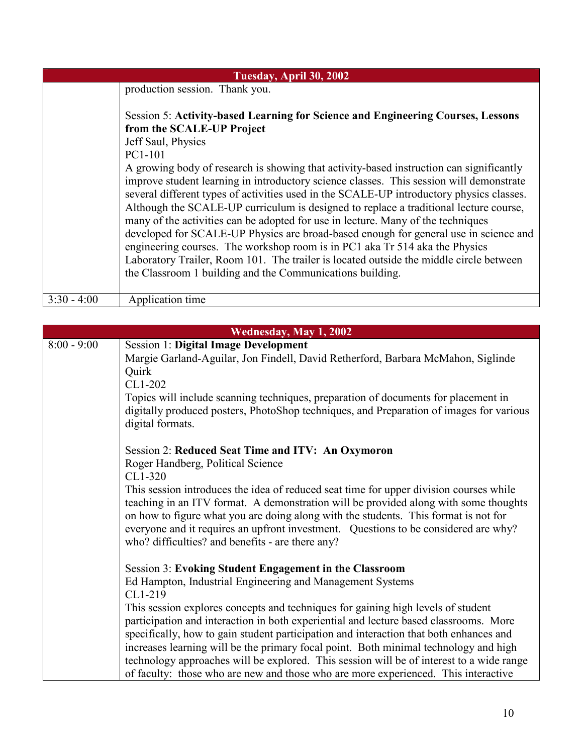| Tuesday, April 30, 2002 |                                                                                                                                                                                                                                                                                                                                                                                                                                                                                                                                                                                                                                                                                                                                                                                                                                                                               |
|-------------------------|-------------------------------------------------------------------------------------------------------------------------------------------------------------------------------------------------------------------------------------------------------------------------------------------------------------------------------------------------------------------------------------------------------------------------------------------------------------------------------------------------------------------------------------------------------------------------------------------------------------------------------------------------------------------------------------------------------------------------------------------------------------------------------------------------------------------------------------------------------------------------------|
|                         | production session. Thank you.                                                                                                                                                                                                                                                                                                                                                                                                                                                                                                                                                                                                                                                                                                                                                                                                                                                |
|                         | Session 5: Activity-based Learning for Science and Engineering Courses, Lessons<br>from the SCALE-UP Project<br>Jeff Saul, Physics<br>PC1-101<br>A growing body of research is showing that activity-based instruction can significantly<br>improve student learning in introductory science classes. This session will demonstrate<br>several different types of activities used in the SCALE-UP introductory physics classes.<br>Although the SCALE-UP curriculum is designed to replace a traditional lecture course,<br>many of the activities can be adopted for use in lecture. Many of the techniques<br>developed for SCALE-UP Physics are broad-based enough for general use in science and<br>engineering courses. The workshop room is in PC1 aka Tr 514 aka the Physics<br>Laboratory Trailer, Room 101. The trailer is located outside the middle circle between |
|                         | the Classroom 1 building and the Communications building.                                                                                                                                                                                                                                                                                                                                                                                                                                                                                                                                                                                                                                                                                                                                                                                                                     |
| $3:30 - 4:00$           | Application time                                                                                                                                                                                                                                                                                                                                                                                                                                                                                                                                                                                                                                                                                                                                                                                                                                                              |

| Wednesday, May 1, 2002 |                                                                                                                                                                                                                                                                                                                                                                                                                                                                                                                                                                                                                                                                                        |
|------------------------|----------------------------------------------------------------------------------------------------------------------------------------------------------------------------------------------------------------------------------------------------------------------------------------------------------------------------------------------------------------------------------------------------------------------------------------------------------------------------------------------------------------------------------------------------------------------------------------------------------------------------------------------------------------------------------------|
| $8:00 - 9:00$          | <b>Session 1: Digital Image Development</b><br>Margie Garland-Aguilar, Jon Findell, David Retherford, Barbara McMahon, Siglinde<br>Quirk<br>CL1-202<br>Topics will include scanning techniques, preparation of documents for placement in<br>digitally produced posters, PhotoShop techniques, and Preparation of images for various<br>digital formats.                                                                                                                                                                                                                                                                                                                               |
|                        | Session 2: Reduced Seat Time and ITV: An Oxymoron<br>Roger Handberg, Political Science<br>CL1-320<br>This session introduces the idea of reduced seat time for upper division courses while<br>teaching in an ITV format. A demonstration will be provided along with some thoughts<br>on how to figure what you are doing along with the students. This format is not for<br>everyone and it requires an upfront investment. Questions to be considered are why?<br>who? difficulties? and benefits - are there any?                                                                                                                                                                  |
|                        | <b>Session 3: Evoking Student Engagement in the Classroom</b><br>Ed Hampton, Industrial Engineering and Management Systems<br>CL1-219<br>This session explores concepts and techniques for gaining high levels of student<br>participation and interaction in both experiential and lecture based classrooms. More<br>specifically, how to gain student participation and interaction that both enhances and<br>increases learning will be the primary focal point. Both minimal technology and high<br>technology approaches will be explored. This session will be of interest to a wide range<br>of faculty: those who are new and those who are more experienced. This interactive |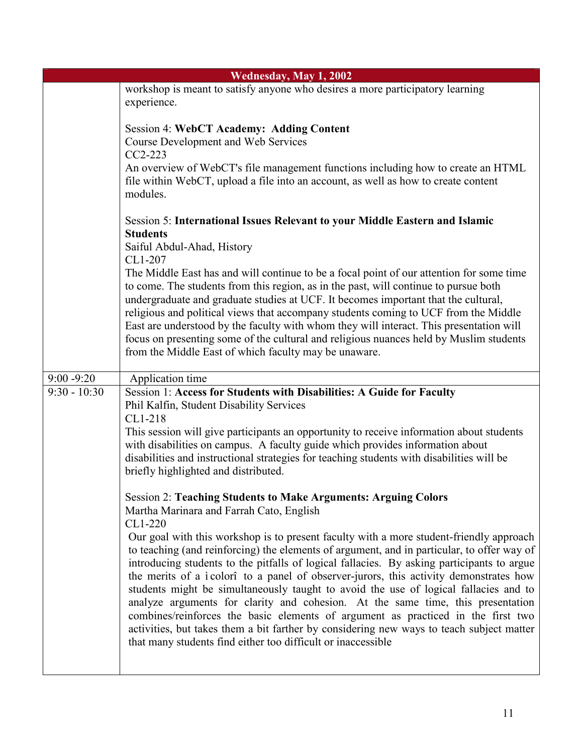| Wednesday, May 1, 2002 |                                                                                                                                                                                                                                                                                                                                                                                                                                                                                                                                                                                                                                                                                                                                                                                                          |
|------------------------|----------------------------------------------------------------------------------------------------------------------------------------------------------------------------------------------------------------------------------------------------------------------------------------------------------------------------------------------------------------------------------------------------------------------------------------------------------------------------------------------------------------------------------------------------------------------------------------------------------------------------------------------------------------------------------------------------------------------------------------------------------------------------------------------------------|
|                        | workshop is meant to satisfy anyone who desires a more participatory learning                                                                                                                                                                                                                                                                                                                                                                                                                                                                                                                                                                                                                                                                                                                            |
|                        | experience.                                                                                                                                                                                                                                                                                                                                                                                                                                                                                                                                                                                                                                                                                                                                                                                              |
|                        | <b>Session 4: WebCT Academy: Adding Content</b><br><b>Course Development and Web Services</b><br>CC2-223<br>An overview of WebCT's file management functions including how to create an HTML                                                                                                                                                                                                                                                                                                                                                                                                                                                                                                                                                                                                             |
|                        | file within WebCT, upload a file into an account, as well as how to create content<br>modules.                                                                                                                                                                                                                                                                                                                                                                                                                                                                                                                                                                                                                                                                                                           |
|                        | Session 5: International Issues Relevant to your Middle Eastern and Islamic<br><b>Students</b><br>Saiful Abdul-Ahad, History                                                                                                                                                                                                                                                                                                                                                                                                                                                                                                                                                                                                                                                                             |
|                        | CL1-207<br>The Middle East has and will continue to be a focal point of our attention for some time<br>to come. The students from this region, as in the past, will continue to pursue both<br>undergraduate and graduate studies at UCF. It becomes important that the cultural,<br>religious and political views that accompany students coming to UCF from the Middle<br>East are understood by the faculty with whom they will interact. This presentation will<br>focus on presenting some of the cultural and religious nuances held by Muslim students<br>from the Middle East of which faculty may be unaware.                                                                                                                                                                                   |
| $9:00 - 9:20$          | Application time                                                                                                                                                                                                                                                                                                                                                                                                                                                                                                                                                                                                                                                                                                                                                                                         |
| $9:30 - 10:30$         | Session 1: Access for Students with Disabilities: A Guide for Faculty<br>Phil Kalfin, Student Disability Services<br>CL1-218                                                                                                                                                                                                                                                                                                                                                                                                                                                                                                                                                                                                                                                                             |
|                        | This session will give participants an opportunity to receive information about students<br>with disabilities on campus. A faculty guide which provides information about<br>disabilities and instructional strategies for teaching students with disabilities will be<br>briefly highlighted and distributed.                                                                                                                                                                                                                                                                                                                                                                                                                                                                                           |
|                        | <b>Session 2: Teaching Students to Make Arguments: Arguing Colors</b><br>Martha Marinara and Farrah Cato, English<br>CL1-220                                                                                                                                                                                                                                                                                                                                                                                                                                                                                                                                                                                                                                                                             |
|                        | Our goal with this workshop is to present faculty with a more student-friendly approach<br>to teaching (and reinforcing) the elements of argument, and in particular, to offer way of<br>introducing students to the pitfalls of logical fallacies. By asking participants to argue<br>the merits of a i colorî to a panel of observer-jurors, this activity demonstrates how<br>students might be simultaneously taught to avoid the use of logical fallacies and to<br>analyze arguments for clarity and cohesion. At the same time, this presentation<br>combines/reinforces the basic elements of argument as practiced in the first two<br>activities, but takes them a bit farther by considering new ways to teach subject matter<br>that many students find either too difficult or inaccessible |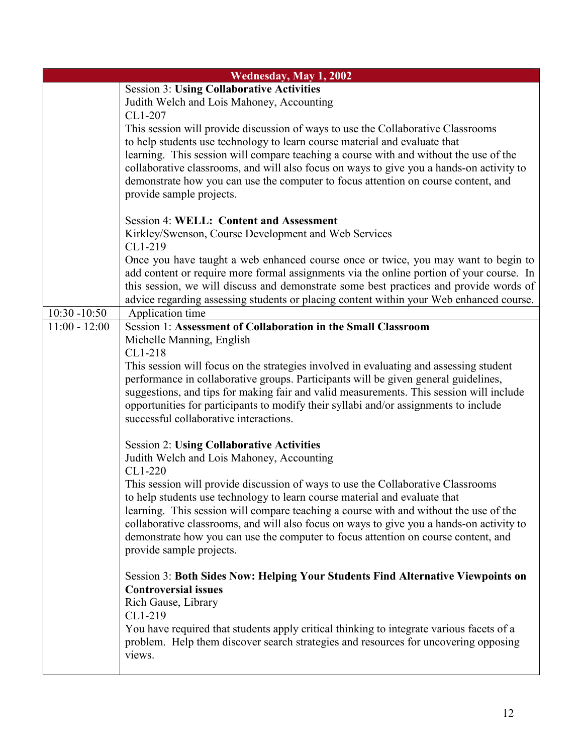|                 | Wednesday, May 1, 2002                                                                                                                                                        |
|-----------------|-------------------------------------------------------------------------------------------------------------------------------------------------------------------------------|
|                 | <b>Session 3: Using Collaborative Activities</b>                                                                                                                              |
|                 | Judith Welch and Lois Mahoney, Accounting                                                                                                                                     |
|                 | CL1-207                                                                                                                                                                       |
|                 | This session will provide discussion of ways to use the Collaborative Classrooms                                                                                              |
|                 | to help students use technology to learn course material and evaluate that                                                                                                    |
|                 | learning. This session will compare teaching a course with and without the use of the                                                                                         |
|                 | collaborative classrooms, and will also focus on ways to give you a hands-on activity to                                                                                      |
|                 | demonstrate how you can use the computer to focus attention on course content, and                                                                                            |
|                 | provide sample projects.                                                                                                                                                      |
|                 | <b>Session 4: WELL: Content and Assessment</b>                                                                                                                                |
|                 | Kirkley/Swenson, Course Development and Web Services                                                                                                                          |
|                 | CL1-219                                                                                                                                                                       |
|                 | Once you have taught a web enhanced course once or twice, you may want to begin to                                                                                            |
|                 | add content or require more formal assignments via the online portion of your course. In                                                                                      |
|                 | this session, we will discuss and demonstrate some best practices and provide words of                                                                                        |
|                 | advice regarding assessing students or placing content within your Web enhanced course.                                                                                       |
| $10:30 - 10:50$ | Application time                                                                                                                                                              |
| $11:00 - 12:00$ | Session 1: Assessment of Collaboration in the Small Classroom                                                                                                                 |
|                 | Michelle Manning, English                                                                                                                                                     |
|                 | CL1-218                                                                                                                                                                       |
|                 | This session will focus on the strategies involved in evaluating and assessing student<br>performance in collaborative groups. Participants will be given general guidelines, |
|                 | suggestions, and tips for making fair and valid measurements. This session will include                                                                                       |
|                 | opportunities for participants to modify their syllabi and/or assignments to include                                                                                          |
|                 | successful collaborative interactions.                                                                                                                                        |
|                 |                                                                                                                                                                               |
|                 | <b>Session 2: Using Collaborative Activities</b>                                                                                                                              |
|                 | Judith Welch and Lois Mahoney, Accounting                                                                                                                                     |
|                 | CL1-220                                                                                                                                                                       |
|                 | This session will provide discussion of ways to use the Collaborative Classrooms                                                                                              |
|                 | to help students use technology to learn course material and evaluate that                                                                                                    |
|                 | learning. This session will compare teaching a course with and without the use of the                                                                                         |
|                 | collaborative classrooms, and will also focus on ways to give you a hands-on activity to                                                                                      |
|                 | demonstrate how you can use the computer to focus attention on course content, and                                                                                            |
|                 | provide sample projects.                                                                                                                                                      |
|                 | <b>Session 3: Both Sides Now: Helping Your Students Find Alternative Viewpoints on</b>                                                                                        |
|                 | <b>Controversial issues</b>                                                                                                                                                   |
|                 | Rich Gause, Library                                                                                                                                                           |
|                 | CL1-219                                                                                                                                                                       |
|                 | You have required that students apply critical thinking to integrate various facets of a                                                                                      |
|                 | problem. Help them discover search strategies and resources for uncovering opposing                                                                                           |
|                 | views.                                                                                                                                                                        |
|                 |                                                                                                                                                                               |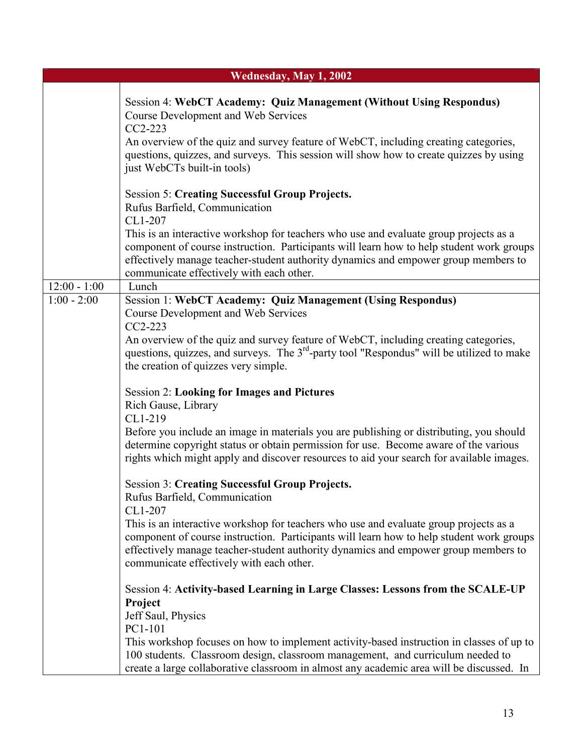| Wednesday, May 1, 2002          |                                                                                                                                                                                                                                                                                                                                                                                                                          |
|---------------------------------|--------------------------------------------------------------------------------------------------------------------------------------------------------------------------------------------------------------------------------------------------------------------------------------------------------------------------------------------------------------------------------------------------------------------------|
|                                 | <b>Session 4: WebCT Academy: Quiz Management (Without Using Respondus)</b><br><b>Course Development and Web Services</b><br>CC2-223<br>An overview of the quiz and survey feature of WebCT, including creating categories,<br>questions, quizzes, and surveys. This session will show how to create quizzes by using<br>just WebCTs built-in tools)                                                                      |
|                                 | <b>Session 5: Creating Successful Group Projects.</b><br>Rufus Barfield, Communication<br>CL1-207<br>This is an interactive workshop for teachers who use and evaluate group projects as a<br>component of course instruction. Participants will learn how to help student work groups<br>effectively manage teacher-student authority dynamics and empower group members to<br>communicate effectively with each other. |
| $12:00 - 1:00$<br>$1:00 - 2:00$ | Lunch<br><b>Session 1: WebCT Academy: Quiz Management (Using Respondus)</b>                                                                                                                                                                                                                                                                                                                                              |
|                                 | <b>Course Development and Web Services</b><br>CC2-223<br>An overview of the quiz and survey feature of WebCT, including creating categories,<br>questions, quizzes, and surveys. The 3 <sup>rd</sup> -party tool "Respondus" will be utilized to make<br>the creation of quizzes very simple.                                                                                                                            |
|                                 | <b>Session 2: Looking for Images and Pictures</b><br>Rich Gause, Library                                                                                                                                                                                                                                                                                                                                                 |
|                                 | CL1-219<br>Before you include an image in materials you are publishing or distributing, you should<br>determine copyright status or obtain permission for use. Become aware of the various<br>rights which might apply and discover resources to aid your search for available images.                                                                                                                                   |
|                                 | <b>Session 3: Creating Successful Group Projects.</b><br>Rufus Barfield, Communication                                                                                                                                                                                                                                                                                                                                   |
|                                 | CL1-207<br>This is an interactive workshop for teachers who use and evaluate group projects as a<br>component of course instruction. Participants will learn how to help student work groups<br>effectively manage teacher-student authority dynamics and empower group members to<br>communicate effectively with each other.                                                                                           |
|                                 | Session 4: Activity-based Learning in Large Classes: Lessons from the SCALE-UP<br>Project<br>Jeff Saul, Physics                                                                                                                                                                                                                                                                                                          |
|                                 | PC1-101<br>This workshop focuses on how to implement activity-based instruction in classes of up to<br>100 students. Classroom design, classroom management, and curriculum needed to<br>create a large collaborative classroom in almost any academic area will be discussed. In                                                                                                                                        |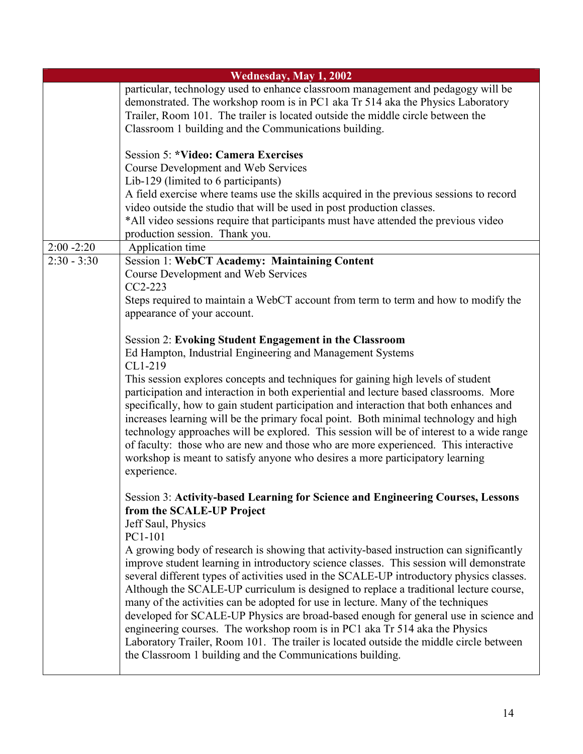| Wednesday, May 1, 2002 |                                                                                                                                                                                                                                                                                                                                                                                                                                                                                                                                                                                                                                                                                                                                                                                           |
|------------------------|-------------------------------------------------------------------------------------------------------------------------------------------------------------------------------------------------------------------------------------------------------------------------------------------------------------------------------------------------------------------------------------------------------------------------------------------------------------------------------------------------------------------------------------------------------------------------------------------------------------------------------------------------------------------------------------------------------------------------------------------------------------------------------------------|
|                        | particular, technology used to enhance classroom management and pedagogy will be<br>demonstrated. The workshop room is in PC1 aka Tr 514 aka the Physics Laboratory<br>Trailer, Room 101. The trailer is located outside the middle circle between the<br>Classroom 1 building and the Communications building.                                                                                                                                                                                                                                                                                                                                                                                                                                                                           |
|                        | <b>Session 5: *Video: Camera Exercises</b><br><b>Course Development and Web Services</b><br>Lib-129 (limited to 6 participants)<br>A field exercise where teams use the skills acquired in the previous sessions to record<br>video outside the studio that will be used in post production classes.<br>*All video sessions require that participants must have attended the previous video<br>production session. Thank you.                                                                                                                                                                                                                                                                                                                                                             |
| $2:00 - 2:20$          | Application time                                                                                                                                                                                                                                                                                                                                                                                                                                                                                                                                                                                                                                                                                                                                                                          |
| $2:30 - 3:30$          | <b>Session 1: WebCT Academy: Maintaining Content</b><br><b>Course Development and Web Services</b><br>CC2-223<br>Steps required to maintain a WebCT account from term to term and how to modify the<br>appearance of your account.                                                                                                                                                                                                                                                                                                                                                                                                                                                                                                                                                        |
|                        | <b>Session 2: Evoking Student Engagement in the Classroom</b><br>Ed Hampton, Industrial Engineering and Management Systems<br>CL1-219                                                                                                                                                                                                                                                                                                                                                                                                                                                                                                                                                                                                                                                     |
|                        | This session explores concepts and techniques for gaining high levels of student<br>participation and interaction in both experiential and lecture based classrooms. More<br>specifically, how to gain student participation and interaction that both enhances and<br>increases learning will be the primary focal point. Both minimal technology and high<br>technology approaches will be explored. This session will be of interest to a wide range<br>of faculty: those who are new and those who are more experienced. This interactive<br>workshop is meant to satisfy anyone who desires a more participatory learning<br>experience.                                                                                                                                             |
|                        | Session 3: Activity-based Learning for Science and Engineering Courses, Lessons<br>from the SCALE-UP Project<br>Jeff Saul, Physics<br>PC1-101                                                                                                                                                                                                                                                                                                                                                                                                                                                                                                                                                                                                                                             |
|                        | A growing body of research is showing that activity-based instruction can significantly<br>improve student learning in introductory science classes. This session will demonstrate<br>several different types of activities used in the SCALE-UP introductory physics classes.<br>Although the SCALE-UP curriculum is designed to replace a traditional lecture course,<br>many of the activities can be adopted for use in lecture. Many of the techniques<br>developed for SCALE-UP Physics are broad-based enough for general use in science and<br>engineering courses. The workshop room is in PC1 aka Tr 514 aka the Physics<br>Laboratory Trailer, Room 101. The trailer is located outside the middle circle between<br>the Classroom 1 building and the Communications building. |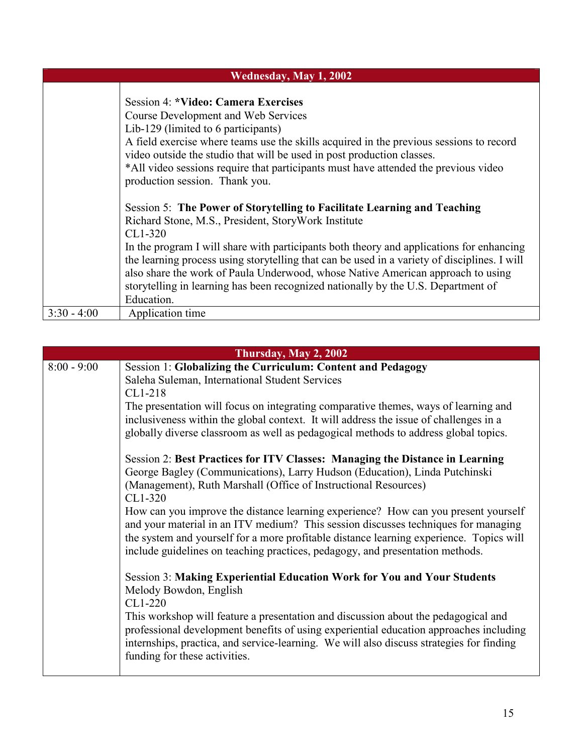| Wednesday, May 1, 2002 |                                                                                              |
|------------------------|----------------------------------------------------------------------------------------------|
|                        |                                                                                              |
|                        | <b>Session 4: *Video: Camera Exercises</b>                                                   |
|                        | <b>Course Development and Web Services</b>                                                   |
|                        | Lib-129 (limited to 6 participants)                                                          |
|                        | A field exercise where teams use the skills acquired in the previous sessions to record      |
|                        | video outside the studio that will be used in post production classes.                       |
|                        | *All video sessions require that participants must have attended the previous video          |
|                        | production session. Thank you.                                                               |
|                        |                                                                                              |
|                        | Session 5: The Power of Storytelling to Facilitate Learning and Teaching                     |
|                        | Richard Stone, M.S., President, StoryWork Institute                                          |
|                        | CL1-320                                                                                      |
|                        | In the program I will share with participants both theory and applications for enhancing     |
|                        | the learning process using storytelling that can be used in a variety of disciplines. I will |
|                        | also share the work of Paula Underwood, whose Native American approach to using              |
|                        | storytelling in learning has been recognized nationally by the U.S. Department of            |
|                        | Education.                                                                                   |
| $3:30 - 4:00$          | Application time                                                                             |

| Thursday, May 2, 2002 |                                                                                                                                                                                                                                                                                                                                                                                                                                                                                                                                                                                                                                                                                                                                                                                                                                                                                                                                                                                                                                                                                                                                                                                                                                                                                                                                                                                                                                         |
|-----------------------|-----------------------------------------------------------------------------------------------------------------------------------------------------------------------------------------------------------------------------------------------------------------------------------------------------------------------------------------------------------------------------------------------------------------------------------------------------------------------------------------------------------------------------------------------------------------------------------------------------------------------------------------------------------------------------------------------------------------------------------------------------------------------------------------------------------------------------------------------------------------------------------------------------------------------------------------------------------------------------------------------------------------------------------------------------------------------------------------------------------------------------------------------------------------------------------------------------------------------------------------------------------------------------------------------------------------------------------------------------------------------------------------------------------------------------------------|
| $8:00 - 9:00$         | Session 1: Globalizing the Curriculum: Content and Pedagogy<br>Saleha Suleman, International Student Services<br>CL1-218<br>The presentation will focus on integrating comparative themes, ways of learning and<br>inclusiveness within the global context. It will address the issue of challenges in a<br>globally diverse classroom as well as pedagogical methods to address global topics.<br>Session 2: Best Practices for ITV Classes: Managing the Distance in Learning<br>George Bagley (Communications), Larry Hudson (Education), Linda Putchinski<br>(Management), Ruth Marshall (Office of Instructional Resources)<br>CL1-320<br>How can you improve the distance learning experience? How can you present yourself<br>and your material in an ITV medium? This session discusses techniques for managing<br>the system and yourself for a more profitable distance learning experience. Topics will<br>include guidelines on teaching practices, pedagogy, and presentation methods.<br><b>Session 3: Making Experiential Education Work for You and Your Students</b><br>Melody Bowdon, English<br>CL1-220<br>This workshop will feature a presentation and discussion about the pedagogical and<br>professional development benefits of using experiential education approaches including<br>internships, practica, and service-learning. We will also discuss strategies for finding<br>funding for these activities. |
|                       |                                                                                                                                                                                                                                                                                                                                                                                                                                                                                                                                                                                                                                                                                                                                                                                                                                                                                                                                                                                                                                                                                                                                                                                                                                                                                                                                                                                                                                         |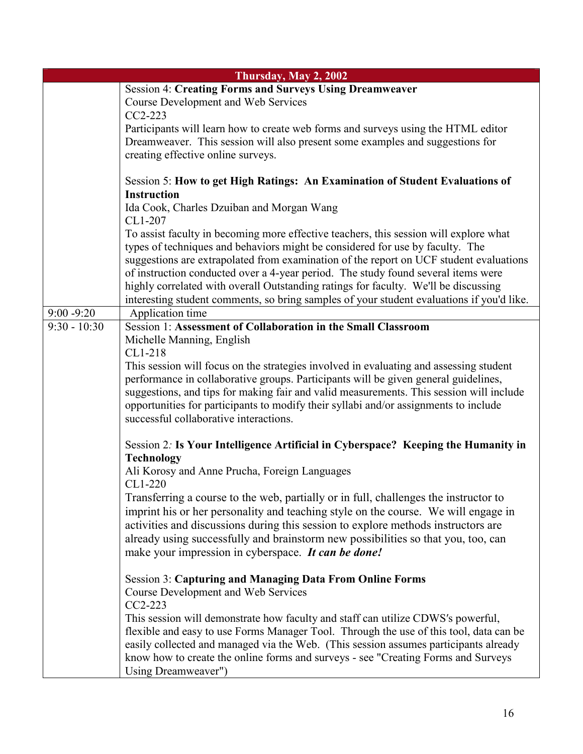|                | Thursday, May 2, 2002                                                                                                                                                  |
|----------------|------------------------------------------------------------------------------------------------------------------------------------------------------------------------|
|                | Session 4: Creating Forms and Surveys Using Dreamweaver                                                                                                                |
|                | <b>Course Development and Web Services</b>                                                                                                                             |
|                | CC2-223                                                                                                                                                                |
|                | Participants will learn how to create web forms and surveys using the HTML editor                                                                                      |
|                | Dreamweaver. This session will also present some examples and suggestions for                                                                                          |
|                | creating effective online surveys.                                                                                                                                     |
|                |                                                                                                                                                                        |
|                | Session 5: How to get High Ratings: An Examination of Student Evaluations of                                                                                           |
|                | <b>Instruction</b>                                                                                                                                                     |
|                | Ida Cook, Charles Dzuiban and Morgan Wang<br>CL1-207                                                                                                                   |
|                |                                                                                                                                                                        |
|                | To assist faculty in becoming more effective teachers, this session will explore what<br>types of techniques and behaviors might be considered for use by faculty. The |
|                | suggestions are extrapolated from examination of the report on UCF student evaluations                                                                                 |
|                | of instruction conducted over a 4-year period. The study found several items were                                                                                      |
|                | highly correlated with overall Outstanding ratings for faculty. We'll be discussing                                                                                    |
|                | interesting student comments, so bring samples of your student evaluations if you'd like.                                                                              |
| $9:00 - 9:20$  | Application time                                                                                                                                                       |
| $9:30 - 10:30$ | Session 1: Assessment of Collaboration in the Small Classroom                                                                                                          |
|                | Michelle Manning, English                                                                                                                                              |
|                | CL1-218                                                                                                                                                                |
|                | This session will focus on the strategies involved in evaluating and assessing student                                                                                 |
|                | performance in collaborative groups. Participants will be given general guidelines,                                                                                    |
|                | suggestions, and tips for making fair and valid measurements. This session will include                                                                                |
|                | opportunities for participants to modify their syllabi and/or assignments to include                                                                                   |
|                | successful collaborative interactions.                                                                                                                                 |
|                | Session 2: Is Your Intelligence Artificial in Cyberspace? Keeping the Humanity in                                                                                      |
|                | <b>Technology</b>                                                                                                                                                      |
|                | Ali Korosy and Anne Prucha, Foreign Languages                                                                                                                          |
|                | CL1-220                                                                                                                                                                |
|                | Transferring a course to the web, partially or in full, challenges the instructor to                                                                                   |
|                | imprint his or her personality and teaching style on the course. We will engage in                                                                                     |
|                | activities and discussions during this session to explore methods instructors are                                                                                      |
|                | already using successfully and brainstorm new possibilities so that you, too, can                                                                                      |
|                | make your impression in cyberspace. It can be done!                                                                                                                    |
|                |                                                                                                                                                                        |
|                | <b>Session 3: Capturing and Managing Data From Online Forms</b>                                                                                                        |
|                | <b>Course Development and Web Services</b>                                                                                                                             |
|                | CC2-223                                                                                                                                                                |
|                | This session will demonstrate how faculty and staff can utilize CDWS's powerful,                                                                                       |
|                | flexible and easy to use Forms Manager Tool. Through the use of this tool, data can be                                                                                 |
|                | easily collected and managed via the Web. (This session assumes participants already                                                                                   |
|                | know how to create the online forms and surveys - see "Creating Forms and Surveys                                                                                      |
|                | Using Dreamweaver")                                                                                                                                                    |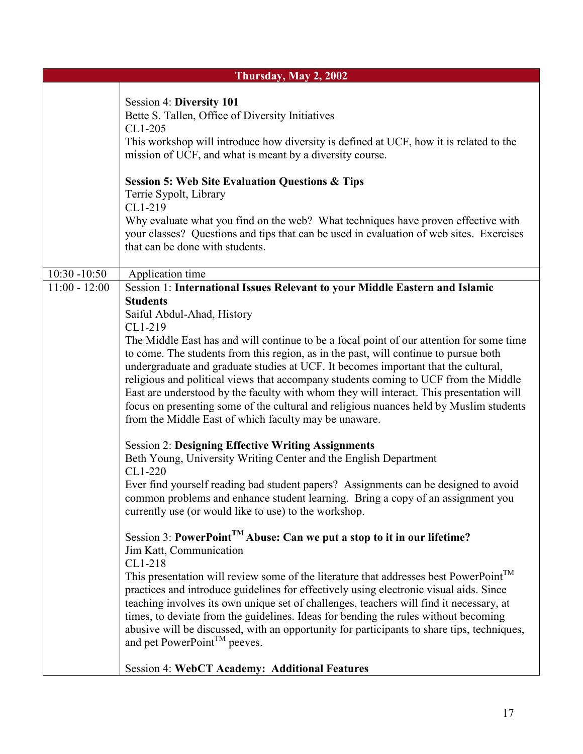|                 | Thursday, May 2, 2002                                                                                                                                                                                                                                                                                                                                                                                                                                                                                                              |
|-----------------|------------------------------------------------------------------------------------------------------------------------------------------------------------------------------------------------------------------------------------------------------------------------------------------------------------------------------------------------------------------------------------------------------------------------------------------------------------------------------------------------------------------------------------|
|                 |                                                                                                                                                                                                                                                                                                                                                                                                                                                                                                                                    |
|                 | Session 4: Diversity 101<br>Bette S. Tallen, Office of Diversity Initiatives<br>CL1-205<br>This workshop will introduce how diversity is defined at UCF, how it is related to the<br>mission of UCF, and what is meant by a diversity course.                                                                                                                                                                                                                                                                                      |
|                 | <b>Session 5: Web Site Evaluation Questions &amp; Tips</b><br>Terrie Sypolt, Library<br>CL1-219<br>Why evaluate what you find on the web? What techniques have proven effective with<br>your classes? Questions and tips that can be used in evaluation of web sites. Exercises<br>that can be done with students.                                                                                                                                                                                                                 |
| $10:30 - 10:50$ | Application time                                                                                                                                                                                                                                                                                                                                                                                                                                                                                                                   |
| $11:00 - 12:00$ | Session 1: International Issues Relevant to your Middle Eastern and Islamic                                                                                                                                                                                                                                                                                                                                                                                                                                                        |
|                 | <b>Students</b><br>Saiful Abdul-Ahad, History<br>CL1-219<br>The Middle East has and will continue to be a focal point of our attention for some time<br>to come. The students from this region, as in the past, will continue to pursue both                                                                                                                                                                                                                                                                                       |
|                 | undergraduate and graduate studies at UCF. It becomes important that the cultural,<br>religious and political views that accompany students coming to UCF from the Middle<br>East are understood by the faculty with whom they will interact. This presentation will<br>focus on presenting some of the cultural and religious nuances held by Muslim students<br>from the Middle East of which faculty may be unaware.                                                                                                            |
|                 | <b>Session 2: Designing Effective Writing Assignments</b><br>Beth Young, University Writing Center and the English Department                                                                                                                                                                                                                                                                                                                                                                                                      |
|                 | CL1-220<br>Ever find yourself reading bad student papers? Assignments can be designed to avoid<br>common problems and enhance student learning. Bring a copy of an assignment you<br>currently use (or would like to use) to the workshop.                                                                                                                                                                                                                                                                                         |
|                 | Session 3: PowerPoint <sup>TM</sup> Abuse: Can we put a stop to it in our lifetime?<br>Jim Katt, Communication                                                                                                                                                                                                                                                                                                                                                                                                                     |
|                 | CL1-218<br>This presentation will review some of the literature that addresses best PowerPoint <sup>TM</sup><br>practices and introduce guidelines for effectively using electronic visual aids. Since<br>teaching involves its own unique set of challenges, teachers will find it necessary, at<br>times, to deviate from the guidelines. Ideas for bending the rules without becoming<br>abusive will be discussed, with an opportunity for participants to share tips, techniques,<br>and pet PowerPoint <sup>TM</sup> peeves. |
|                 | <b>Session 4: WebCT Academy: Additional Features</b>                                                                                                                                                                                                                                                                                                                                                                                                                                                                               |